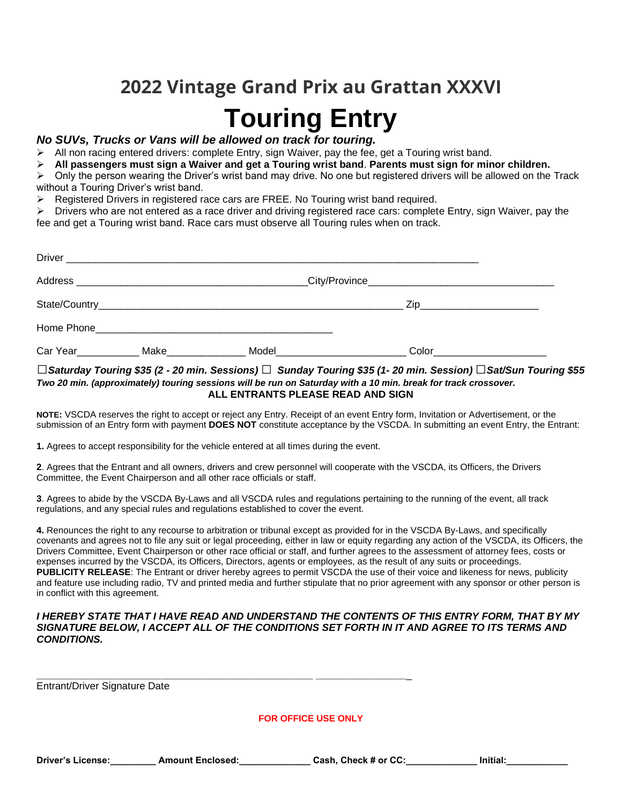# **2022 Vintage Grand Prix au Grattan XXXVI Touring Entry**

#### *No SUVs, Trucks or Vans will be allowed on track for touring.*

 $\triangleright$  All non racing entered drivers: complete Entry, sign Waiver, pay the fee, get a Touring wrist band.

➢ **All passengers must sign a Waiver and get a Touring wrist band**. **Parents must sign for minor children.** 

 $\triangleright$  Only the person wearing the Driver's wrist band may drive. No one but registered drivers will be allowed on the Track without a Touring Driver's wrist band.

 $\triangleright$  Registered Drivers in registered race cars are FREE. No Touring wrist band required.

 $\triangleright$  Drivers who are not entered as a race driver and driving registered race cars: complete Entry, sign Waiver, pay the fee and get a Touring wrist band. Race cars must observe all Touring rules when on track.

|                                   |      |                                                                                                                                                                                                                                    | Zip___________________________               |
|-----------------------------------|------|------------------------------------------------------------------------------------------------------------------------------------------------------------------------------------------------------------------------------------|----------------------------------------------|
|                                   |      |                                                                                                                                                                                                                                    |                                              |
| Car Year <b>Caracter Caracter</b> | Make | Model <b>Model</b> the contract of the contract of the contract of the contract of the contract of the contract of the contract of the contract of the contract of the contract of the contract of the contract of the contract of | Color in the color of the color of the color |

#### *□Saturday Touring \$35 (2 - 20 min. Sessions) □ Sunday Touring \$35 (1- 20 min. Session)□Sat/Sun Touring \$55 Two 20 min. (approximately) touring sessions will be run on Saturday with a 10 min. break for track crossover.*  **ALL ENTRANTS PLEASE READ AND SIGN**

**NOTE:** VSCDA reserves the right to accept or reject any Entry. Receipt of an event Entry form, Invitation or Advertisement, or the submission of an Entry form with payment **DOES NOT** constitute acceptance by the VSCDA. In submitting an event Entry, the Entrant:

**1.** Agrees to accept responsibility for the vehicle entered at all times during the event.

**2**. Agrees that the Entrant and all owners, drivers and crew personnel will cooperate with the VSCDA, its Officers, the Drivers Committee, the Event Chairperson and all other race officials or staff.

**3**. Agrees to abide by the VSCDA By-Laws and all VSCDA rules and regulations pertaining to the running of the event, all track regulations, and any special rules and regulations established to cover the event.

**4.** Renounces the right to any recourse to arbitration or tribunal except as provided for in the VSCDA By-Laws, and specifically covenants and agrees not to file any suit or legal proceeding, either in law or equity regarding any action of the VSCDA, its Officers, the Drivers Committee, Event Chairperson or other race official or staff, and further agrees to the assessment of attorney fees, costs or expenses incurred by the VSCDA, its Officers, Directors, agents or employees, as the result of any suits or proceedings. **PUBLICITY RELEASE**: The Entrant or driver hereby agrees to permit VSCDA the use of their voice and likeness for news, publicity and feature use including radio, TV and printed media and further stipulate that no prior agreement with any sponsor or other person is in conflict with this agreement.

#### *I HEREBY STATE THAT I HAVE READ AND UNDERSTAND THE CONTENTS OF THIS ENTRY FORM, THAT BY MY SIGNATURE BELOW, I ACCEPT ALL OF THE CONDITIONS SET FORTH IN IT AND AGREE TO ITS TERMS AND CONDITIONS.*

Entrant/Driver Signature Date

#### **FOR OFFICE USE ONLY**

**\_\_\_\_\_\_\_\_\_\_\_\_\_\_\_\_\_\_\_\_\_\_\_\_\_\_\_\_\_\_\_\_\_\_\_\_\_\_\_\_\_\_\_\_\_\_\_\_\_ \_\_\_\_\_\_\_\_\_\_\_\_\_\_\_\_**\_